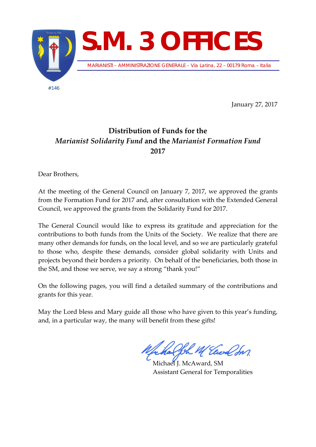

January 27, 2017

## **Distribution of Funds for the**  *Marianist Solidarity Fund* **and the** *Marianist Formation Fund* **2017**

Dear Brothers,

At the meeting of the General Council on January 7, 2017, we approved the grants from the Formation Fund for 2017 and, after consultation with the Extended General Council, we approved the grants from the Solidarity Fund for 2017.

The General Council would like to express its gratitude and appreciation for the contributions to both funds from the Units of the Society. We realize that there are many other demands for funds, on the local level, and so we are particularly grateful to those who, despite these demands, consider global solidarity with Units and projects beyond their borders a priority. On behalf of the beneficiaries, both those in the SM, and those we serve, we say a strong "thank you!"

On the following pages, you will find a detailed summary of the contributions and grants for this year.

May the Lord bless and Mary guide all those who have given to this year's funding, and, in a particular way, the many will benefit from these gifts!

Joh M Elect In

Michael J. McAward, SM Assistant General for Temporalities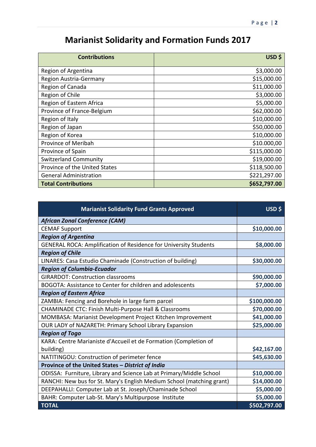## **Marianist Solidarity and Formation Funds 2017**

| <b>Contributions</b>          | USD \$       |
|-------------------------------|--------------|
| Region of Argentina           | \$3,000.00   |
| Region Austria-Germany        | \$15,000.00  |
| Region of Canada              | \$11,000.00  |
| Region of Chile               | \$3,000.00   |
| Region of Eastern Africa      | \$5,000.00   |
| Province of France-Belgium    | \$62,000.00  |
| Region of Italy               | \$10,000.00  |
| Region of Japan               | \$50,000.00  |
| Region of Korea               | \$10,000.00  |
| Province of Meribah           | \$10.000,00  |
| Province of Spain             | \$115,000.00 |
| <b>Switzerland Community</b>  | \$19,000.00  |
| Province of the United States | \$118,500.00 |
| <b>General Administration</b> | \$221,297.00 |
| <b>Total Contributions</b>    | \$652,797.00 |

| <b>Marianist Solidarity Fund Grants Approved</b>                      | USD \$       |
|-----------------------------------------------------------------------|--------------|
| <b>African Zonal Conference (CAM)</b>                                 |              |
| <b>CEMAF Support</b>                                                  | \$10,000.00  |
| <b>Region of Argentina</b>                                            |              |
| GENERAL ROCA: Amplification of Residence for University Students      | \$8,000.00   |
| <b>Region of Chile</b>                                                |              |
| LINARES: Casa Estudio Chaminade (Construction of building)            | \$30,000.00  |
| <b>Region of Columbia-Ecuador</b>                                     |              |
| <b>GIRARDOT: Construction classrooms</b>                              | \$90,000.00  |
| BOGOTA: Assistance to Center for children and adolescents             | \$7,000.00   |
| <b>Region of Eastern Africa</b>                                       |              |
| ZAMBIA: Fencing and Borehole in large farm parcel                     | \$100,000.00 |
| CHAMINADE CTC: Finish Multi-Purpose Hall & Classrooms                 | \$70,000.00  |
| MOMBASA: Marianist Development Project Kitchen Improvement            | \$41,000.00  |
| OUR LADY of NAZARETH: Primary School Library Expansion                | \$25,000.00  |
| <b>Region of Togo</b>                                                 |              |
| KARA: Centre Marianiste d'Accueil et de Formation (Completion of      |              |
| building)                                                             | \$42,167.00  |
| NATITINGOU: Construction of perimeter fence                           | \$45,630.00  |
| Province of the United States - District of India                     |              |
| ODISSA: Furniture, Library and Science Lab at Primary/Middle School   | \$10,000.00  |
| RANCHI: New bus for St. Mary's English Medium School (matching grant) | \$14,000.00  |
| DEEPAHALLI: Computer Lab at St. Joseph/Chaminade School               | \$5,000.00   |
| BAHR: Computer Lab-St. Mary's Multipurpose Institute                  | \$5,000.00   |
| <b>TOTAL</b>                                                          | \$502,797.00 |